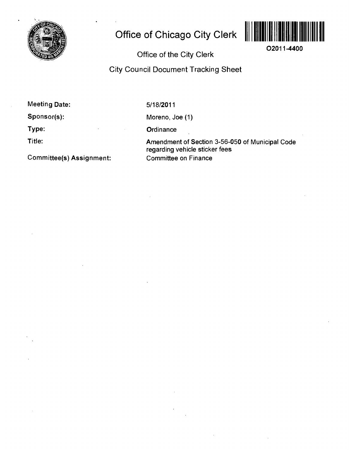

# **Office of Chicago City Clerk**



**O2011-4400** 

## **Office of the City Clerk**

## **City Council Document Tracking Sheet**

**Meeting Date:** 

**Sponsor(s):** 

**Type:** 

**Title:** 

**Committee(s) Assignment:** 

5/18/2011

Moreno, Joe (1)

**Ordinance** 

Amendment of Section 3-56-050 of Municipal Code regarding vehicle sticker fees Committee on Finance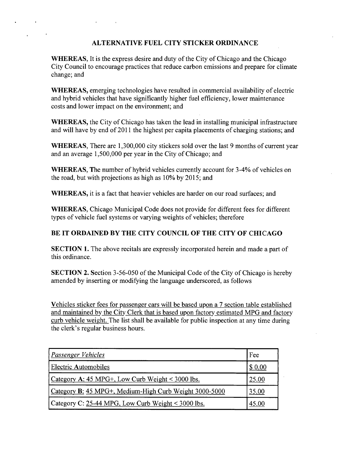#### **ALTERNATIVE FUEL CITY STICKER ORDINANCE**

WHEREAS, It is the express desire and duty of the City of Chicago and the Chicago City Council to encourage practices that reduce carbon emissions and prepare for climate change; and

WHEREAS, emerging technologies have resulted in commercial availability of electric and hybrid vehicles that have significantly higher fuel efficiency, lower maintenance costs and lower impact on the environment; and

WHEREAS, the City of Chicago has taken the lead in installing municipal infrastructure and will have by end of 2011 the highest per capita placements of charging stations; and

WHEREAS, There are 1,300,000 city stickers sold over the last 9 months of current year and an average 1,500,000 per year in the City of Chicago; and

WHEREAS, The number of hybrid vehicles currently account for 3-4% of vehicles on the road, but with projections as high as 10% by 2015; and

WHEREAS, it is a fact that heavier vehicles are harder on our road surfaces; and

WHEREAS, Chicago Municipal Code does not provide for different fees for different types of vehicle fuel systems or varying weights of vehicles; therefore

### **BE IT ORDAINED BY THE CITY COUNCIL OF THE CITY OF CHICAGO**

SECTION 1. The above recitals are expressly incorporated herein and made a part of this ordinance.

**SECTION 2.** Section 3-56-050 of the Municipal Code of the City of Chicago is hereby amended by inserting or modifying the language underscored, as follows

Vehicles sticker fees for passenger cars will be based upon a 7 section table established and maintained by the City Clerk that is based upon factory estimated MPG and factory curb vehicle weight. The list shall be available for public inspection at any time during the clerk's regular business hours.

| <b>Passenger Vehicles</b>                              | Fee    |
|--------------------------------------------------------|--------|
| <b>Electric Automobiles</b>                            | \$0.00 |
| Category A: 45 MPG+, Low Curb Weight < 3000 lbs.       | 25.00  |
| Category B: 45 MPG+, Medium-High Curb Weight 3000-5000 | 35.00  |
| Category C: $25-44$ MPG, Low Curb Weight < 3000 lbs.   | 45.00  |